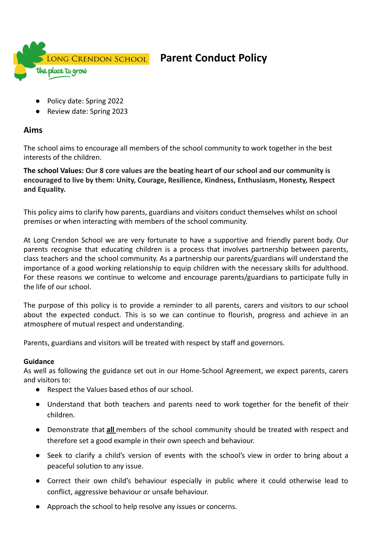

- Policy date: Spring 2022
- Review date: Spring 2023

## **Aims**

The school aims to encourage all members of the school community to work together in the best interests of the children.

**The school Values: Our 8 core values are the beating heart of our school and our community is encouraged to live by them: Unity, Courage, Resilience, Kindness, Enthusiasm, Honesty, Respect and Equality.**

This policy aims to clarify how parents, guardians and visitors conduct themselves whilst on school premises or when interacting with members of the school community.

At Long Crendon School we are very fortunate to have a supportive and friendly parent body. Our parents recognise that educating children is a process that involves partnership between parents, class teachers and the school community. As a partnership our parents/guardians will understand the importance of a good working relationship to equip children with the necessary skills for adulthood. For these reasons we continue to welcome and encourage parents/guardians to participate fully in the life of our school.

The purpose of this policy is to provide a reminder to all parents, carers and visitors to our school about the expected conduct. This is so we can continue to flourish, progress and achieve in an atmosphere of mutual respect and understanding.

Parents, guardians and visitors will be treated with respect by staff and governors.

## **Guidance**

As well as following the guidance set out in our Home-School Agreement, we expect parents, carers and visitors to:

- Respect the Values based ethos of our school.
- Understand that both teachers and parents need to work together for the benefit of their children.
- Demonstrate that **all** members of the school community should be treated with respect and therefore set a good example in their own speech and behaviour.
- Seek to clarify a child's version of events with the school's view in order to bring about a peaceful solution to any issue.
- Correct their own child's behaviour especially in public where it could otherwise lead to conflict, aggressive behaviour or unsafe behaviour.
- Approach the school to help resolve any issues or concerns.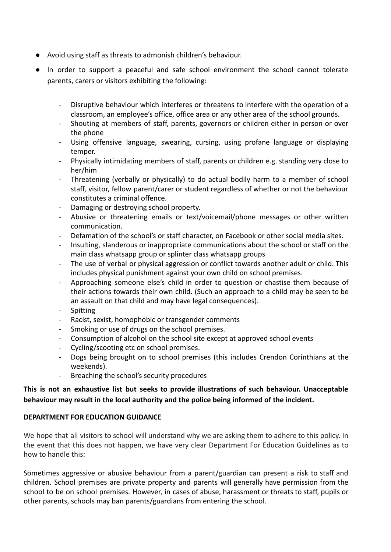- Avoid using staff as threats to admonish children's behaviour.
- In order to support a peaceful and safe school environment the school cannot tolerate parents, carers or visitors exhibiting the following:
	- Disruptive behaviour which interferes or threatens to interfere with the operation of a classroom, an employee's office, office area or any other area of the school grounds.
	- Shouting at members of staff, parents, governors or children either in person or over the phone
	- Using offensive language, swearing, cursing, using profane language or displaying temper.
	- Physically intimidating members of staff, parents or children e.g. standing very close to her/him
	- Threatening (verbally or physically) to do actual bodily harm to a member of school staff, visitor, fellow parent/carer or student regardless of whether or not the behaviour constitutes a criminal offence.
	- Damaging or destroying school property.
	- Abusive or threatening emails or text/voicemail/phone messages or other written communication.
	- Defamation of the school's or staff character, on Facebook or other social media sites.
	- Insulting, slanderous or inappropriate communications about the school or staff on the main class whatsapp group or splinter class whatsapp groups
	- The use of verbal or physical aggression or conflict towards another adult or child. This includes physical punishment against your own child on school premises.
	- Approaching someone else's child in order to question or chastise them because of their actions towards their own child. (Such an approach to a child may be seen to be an assault on that child and may have legal consequences).
	- Spitting
	- Racist, sexist, homophobic or transgender comments
	- Smoking or use of drugs on the school premises.
	- Consumption of alcohol on the school site except at approved school events
	- Cycling/scooting etc on school premises.
	- Dogs being brought on to school premises (this includes Crendon Corinthians at the weekends).
	- Breaching the school's security procedures

# **This is not an exhaustive list but seeks to provide illustrations of such behaviour. Unacceptable behaviour may result in the local authority and the police being informed of the incident.**

## **DEPARTMENT FOR EDUCATION GUIDANCE**

We hope that all visitors to school will understand why we are asking them to adhere to this policy. In the event that this does not happen, we have very clear Department For Education Guidelines as to how to handle this:

Sometimes aggressive or abusive behaviour from a parent/guardian can present a risk to staff and children. School premises are private property and parents will generally have permission from the school to be on school premises. However, in cases of abuse, harassment or threats to staff, pupils or other parents, schools may ban parents/guardians from entering the school.